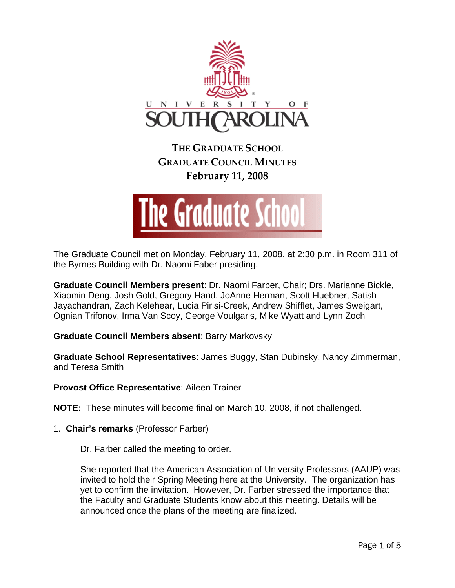

**THE GRADUATE SCHOOL GRADUATE COUNCIL MINUTES February 11, 2008**



The Graduate Council met on Monday, February 11, 2008, at 2:30 p.m. in Room 311 of the Byrnes Building with Dr. Naomi Faber presiding.

**Graduate Council Members present**: Dr. Naomi Farber, Chair; Drs. Marianne Bickle, Xiaomin Deng, Josh Gold, Gregory Hand, JoAnne Herman, Scott Huebner, Satish Jayachandran, Zach Kelehear, Lucia Pirisi-Creek, Andrew Shifflet, James Sweigart, Ognian Trifonov, Irma Van Scoy, George Voulgaris, Mike Wyatt and Lynn Zoch

**Graduate Council Members absent**: Barry Markovsky

**Graduate School Representatives**: James Buggy, Stan Dubinsky, Nancy Zimmerman, and Teresa Smith

**Provost Office Representative**: Aileen Trainer

**NOTE:** These minutes will become final on March 10, 2008, if not challenged.

1. **Chair's remarks** (Professor Farber)

Dr. Farber called the meeting to order.

She reported that the American Association of University Professors (AAUP) was invited to hold their Spring Meeting here at the University. The organization has yet to confirm the invitation. However, Dr. Farber stressed the importance that the Faculty and Graduate Students know about this meeting. Details will be announced once the plans of the meeting are finalized.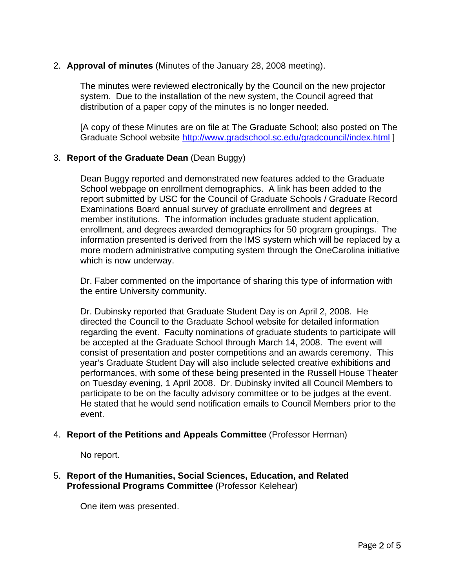## 2. **Approval of minutes** (Minutes of the January 28, 2008 meeting).

The minutes were reviewed electronically by the Council on the new projector system. Due to the installation of the new system, the Council agreed that distribution of a paper copy of the minutes is no longer needed.

[A copy of these Minutes are on file at The Graduate School; also posted on The Graduate School website<http://www.gradschool.sc.edu/gradcouncil/index.html>]

# 3. **Report of the Graduate Dean** (Dean Buggy)

Dean Buggy reported and demonstrated new features added to the Graduate School webpage on enrollment demographics. A link has been added to the report submitted by USC for the Council of Graduate Schools / Graduate Record Examinations Board annual survey of graduate enrollment and degrees at member institutions. The information includes graduate student application, enrollment, and degrees awarded demographics for 50 program groupings. The information presented is derived from the IMS system which will be replaced by a more modern administrative computing system through the OneCarolina initiative which is now underway.

Dr. Faber commented on the importance of sharing this type of information with the entire University community.

Dr. Dubinsky reported that Graduate Student Day is on April 2, 2008. He directed the Council to the Graduate School website for detailed information regarding the event. Faculty nominations of graduate students to participate will be accepted at the Graduate School through March 14, 2008. The event will consist of presentation and poster competitions and an awards ceremony. This year's Graduate Student Day will also include selected creative exhibitions and performances, with some of these being presented in the Russell House Theater on Tuesday evening, 1 April 2008. Dr. Dubinsky invited all Council Members to participate to be on the faculty advisory committee or to be judges at the event. He stated that he would send notification emails to Council Members prior to the event.

## 4. **Report of the Petitions and Appeals Committee** (Professor Herman)

No report.

## 5. **Report of the Humanities, Social Sciences, Education, and Related Professional Programs Committee** (Professor Kelehear)

One item was presented.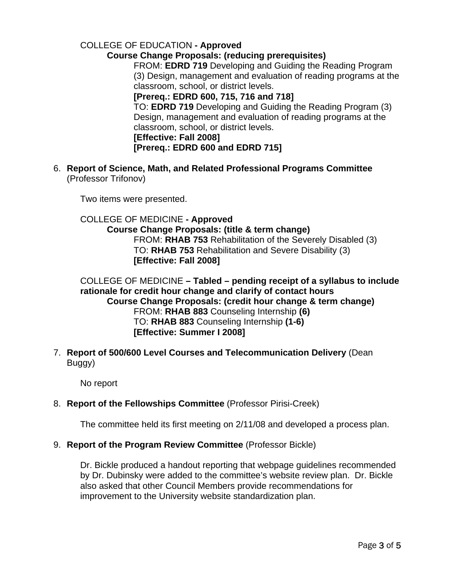## COLLEGE OF EDUCATION **- Approved Course Change Proposals: (reducing prerequisites)** FROM: **EDRD 719** Developing and Guiding the Reading Program (3) Design, management and evaluation of reading programs at the classroom, school, or district levels. **[Prereq.: EDRD 600, 715, 716 and 718]**  TO: **EDRD 719** Developing and Guiding the Reading Program (3) Design, management and evaluation of reading programs at the classroom, school, or district levels. **[Effective: Fall 2008] [Prereq.: EDRD 600 and EDRD 715]**

6. **Report of Science, Math, and Related Professional Programs Committee**  (Professor Trifonov)

Two items were presented.

COLLEGE OF MEDICINE **- Approved Course Change Proposals: (title & term change)** FROM: **RHAB 753** Rehabilitation of the Severely Disabled (3) TO: **RHAB 753** Rehabilitation and Severe Disability (3) **[Effective: Fall 2008]** 

COLLEGE OF MEDICINE **– Tabled – pending receipt of a syllabus to include rationale for credit hour change and clarify of contact hours Course Change Proposals: (credit hour change & term change)** FROM: **RHAB 883** Counseling Internship **(6)** TO: **RHAB 883** Counseling Internship **(1-6) [Effective: Summer I 2008]** 

7. **Report of 500/600 Level Courses and Telecommunication Delivery** (Dean Buggy)

No report

## 8. **Report of the Fellowships Committee** (Professor Pirisi-Creek)

The committee held its first meeting on 2/11/08 and developed a process plan.

## 9. **Report of the Program Review Committee** (Professor Bickle)

Dr. Bickle produced a handout reporting that webpage guidelines recommended by Dr. Dubinsky were added to the committee's website review plan. Dr. Bickle also asked that other Council Members provide recommendations for improvement to the University website standardization plan.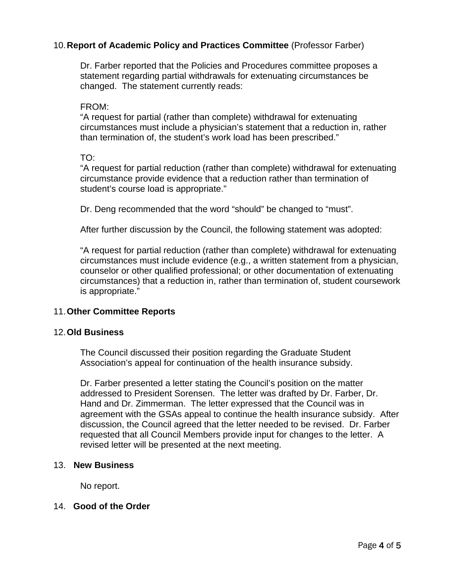## 10. **Report of Academic Policy and Practices Committee** (Professor Farber)

Dr. Farber reported that the Policies and Procedures committee proposes a statement regarding partial withdrawals for extenuating circumstances be changed. The statement currently reads:

#### FROM:

"A request for partial (rather than complete) withdrawal for extenuating circumstances must include a physician's statement that a reduction in, rather than termination of, the student's work load has been prescribed."

TO:

"A request for partial reduction (rather than complete) withdrawal for extenuating circumstance provide evidence that a reduction rather than termination of student's course load is appropriate."

Dr. Deng recommended that the word "should" be changed to "must".

After further discussion by the Council, the following statement was adopted:

"A request for partial reduction (rather than complete) withdrawal for extenuating circumstances must include evidence (e.g., a written statement from a physician, counselor or other qualified professional; or other documentation of extenuating circumstances) that a reduction in, rather than termination of, student coursework is appropriate."

#### 11. **Other Committee Reports**

#### 12. **Old Business**

The Council discussed their position regarding the Graduate Student Association's appeal for continuation of the health insurance subsidy.

Dr. Farber presented a letter stating the Council's position on the matter addressed to President Sorensen. The letter was drafted by Dr. Farber, Dr. Hand and Dr. Zimmerman. The letter expressed that the Council was in agreement with the GSAs appeal to continue the health insurance subsidy. After discussion, the Council agreed that the letter needed to be revised. Dr. Farber requested that all Council Members provide input for changes to the letter. A revised letter will be presented at the next meeting.

#### 13. **New Business**

No report.

#### 14. **Good of the Order**